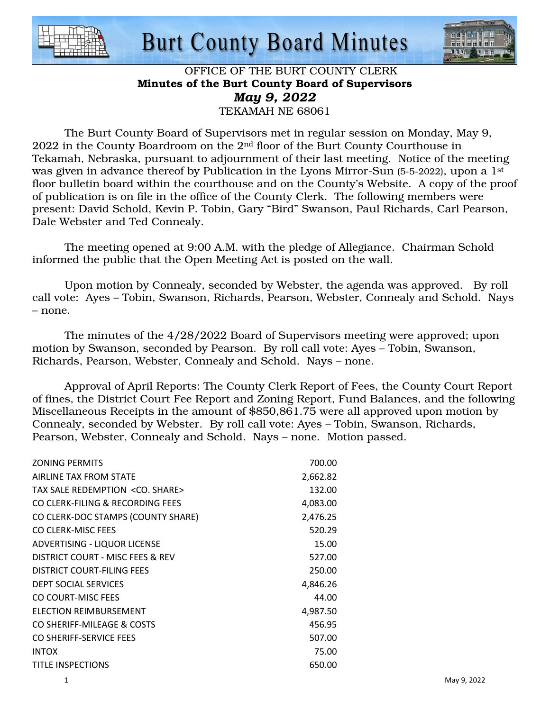

### **Burt County Board Minutes**



#### OFFICE OF THE BURT COUNTY CLERK Minutes of the Burt County Board of Supervisors *May 9, 2022*  TEKAMAH NE 68061

 The Burt County Board of Supervisors met in regular session on Monday, May 9, 2022 in the County Boardroom on the 2nd floor of the Burt County Courthouse in Tekamah, Nebraska, pursuant to adjournment of their last meeting. Notice of the meeting was given in advance thereof by Publication in the Lyons Mirror-Sun (5-5-2022), upon a 1<sup>st</sup> floor bulletin board within the courthouse and on the County's Website. A copy of the proof of publication is on file in the office of the County Clerk. The following members were present: David Schold, Kevin P. Tobin, Gary "Bird" Swanson, Paul Richards, Carl Pearson, Dale Webster and Ted Connealy.

 The meeting opened at 9:00 A.M. with the pledge of Allegiance. Chairman Schold informed the public that the Open Meeting Act is posted on the wall.

 Upon motion by Connealy, seconded by Webster, the agenda was approved. By roll call vote: Ayes – Tobin, Swanson, Richards, Pearson, Webster, Connealy and Schold. Nays – none.

 The minutes of the 4/28/2022 Board of Supervisors meeting were approved; upon motion by Swanson, seconded by Pearson. By roll call vote: Ayes – Tobin, Swanson, Richards, Pearson, Webster, Connealy and Schold. Nays – none.

 Approval of April Reports: The County Clerk Report of Fees, the County Court Report of fines, the District Court Fee Report and Zoning Report, Fund Balances, and the following Miscellaneous Receipts in the amount of \$850,861.75 were all approved upon motion by Connealy, seconded by Webster. By roll call vote: Ayes – Tobin, Swanson, Richards, Pearson, Webster, Connealy and Schold. Nays – none. Motion passed.

| <b>ZONING PERMITS</b>                    | 700.00   |
|------------------------------------------|----------|
| AIRLINE TAX FROM STATE                   | 2,662.82 |
| TAX SALE REDEMPTION <co. share=""></co.> | 132.00   |
| CO CLERK-FILING & RECORDING FEES         | 4,083.00 |
| CO CLERK-DOC STAMPS (COUNTY SHARE)       | 2,476.25 |
| CO CLERK-MISC FEES                       | 520.29   |
| ADVERTISING - LIQUOR LICENSE             | 15.00    |
| DISTRICT COURT - MISC FEES & REV         | 527.00   |
| DISTRICT COURT-FILING FEES               | 250.00   |
| <b>DEPT SOCIAL SERVICES</b>              | 4,846.26 |
| CO COURT-MISC FEES                       | 44.00    |
| <b>ELECTION REIMBURSEMENT</b>            | 4,987.50 |
| CO SHERIFF-MILEAGE & COSTS               | 456.95   |
| CO SHERIFF-SERVICE FEES                  | 507.00   |
| <b>INTOX</b>                             | 75.00    |
| <b>TITLE INSPECTIONS</b>                 | 650.00   |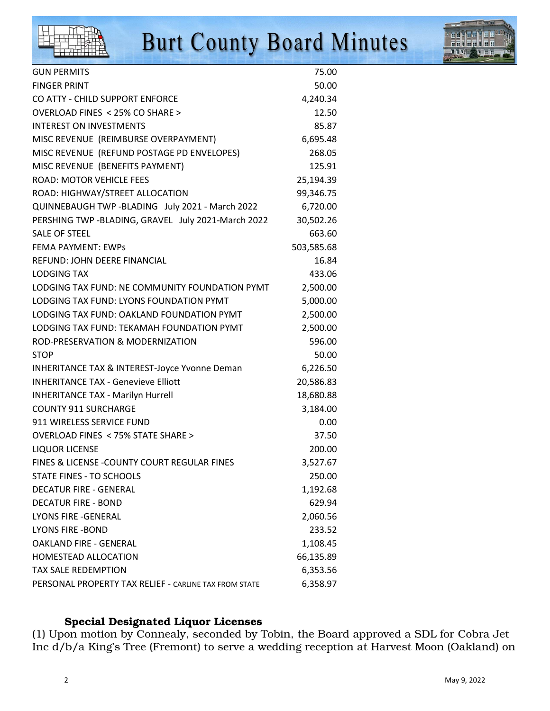

# **Burt County Board Minutes**



| <b>GUN PERMITS</b>                                       | 75.00      |
|----------------------------------------------------------|------------|
| <b>FINGER PRINT</b>                                      | 50.00      |
| CO ATTY - CHILD SUPPORT ENFORCE                          | 4,240.34   |
| OVERLOAD FINES < 25% CO SHARE >                          | 12.50      |
| <b>INTEREST ON INVESTMENTS</b>                           | 85.87      |
| MISC REVENUE (REIMBURSE OVERPAYMENT)                     | 6,695.48   |
| MISC REVENUE (REFUND POSTAGE PD ENVELOPES)               | 268.05     |
| MISC REVENUE (BENEFITS PAYMENT)                          | 125.91     |
| <b>ROAD: MOTOR VEHICLE FEES</b>                          | 25,194.39  |
| ROAD: HIGHWAY/STREET ALLOCATION                          | 99,346.75  |
| QUINNEBAUGH TWP -BLADING July 2021 - March 2022          | 6,720.00   |
| PERSHING TWP -BLADING, GRAVEL July 2021-March 2022       | 30,502.26  |
| <b>SALE OF STEEL</b>                                     | 663.60     |
| <b>FEMA PAYMENT: EWPS</b>                                | 503,585.68 |
| REFUND: JOHN DEERE FINANCIAL                             | 16.84      |
| <b>LODGING TAX</b>                                       | 433.06     |
| LODGING TAX FUND: NE COMMUNITY FOUNDATION PYMT           | 2,500.00   |
| LODGING TAX FUND: LYONS FOUNDATION PYMT                  | 5,000.00   |
| LODGING TAX FUND: OAKLAND FOUNDATION PYMT                | 2,500.00   |
| LODGING TAX FUND: TEKAMAH FOUNDATION PYMT                | 2,500.00   |
| ROD-PRESERVATION & MODERNIZATION                         | 596.00     |
| <b>STOP</b>                                              | 50.00      |
| <b>INHERITANCE TAX &amp; INTEREST-Joyce Yvonne Deman</b> | 6,226.50   |
| <b>INHERITANCE TAX - Genevieve Elliott</b>               | 20,586.83  |
| <b>INHERITANCE TAX - Marilyn Hurrell</b>                 | 18,680.88  |
| <b>COUNTY 911 SURCHARGE</b>                              | 3,184.00   |
| 911 WIRELESS SERVICE FUND                                | 0.00       |
| OVERLOAD FINES < 75% STATE SHARE >                       | 37.50      |
| <b>LIQUOR LICENSE</b>                                    | 200.00     |
| FINES & LICENSE - COUNTY COURT REGULAR FINES             | 3,527.67   |
| <b>STATE FINES - TO SCHOOLS</b>                          | 250.00     |
| <b>DECATUR FIRE - GENERAL</b>                            | 1,192.68   |
| <b>DECATUR FIRE - BOND</b>                               | 629.94     |
| <b>LYONS FIRE -GENERAL</b>                               | 2,060.56   |
| <b>LYONS FIRE -BOND</b>                                  | 233.52     |
| OAKLAND FIRE - GENERAL                                   | 1,108.45   |
| HOMESTEAD ALLOCATION                                     | 66,135.89  |
| <b>TAX SALE REDEMPTION</b>                               | 6,353.56   |
| PERSONAL PROPERTY TAX RELIEF - CARLINE TAX FROM STATE    | 6,358.97   |

#### Special Designated Liquor Licenses

(1) Upon motion by Connealy, seconded by Tobin, the Board approved a SDL for Cobra Jet Inc d/b/a King's Tree (Fremont) to serve a wedding reception at Harvest Moon (Oakland) on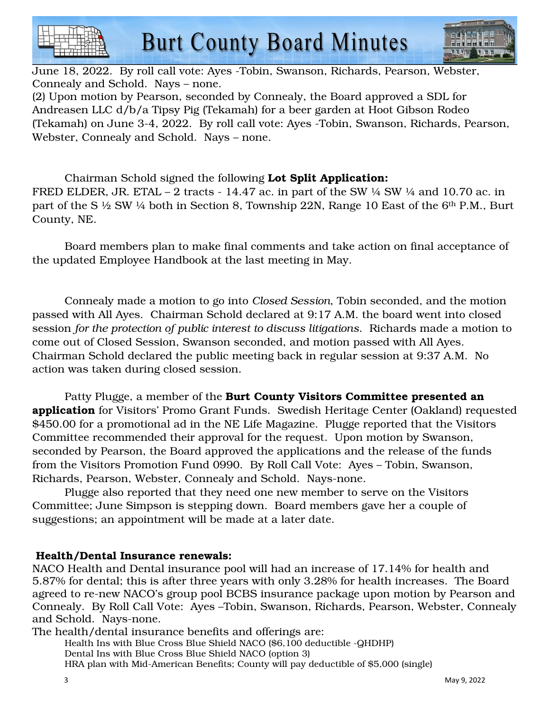



June 18, 2022. By roll call vote: Ayes -Tobin, Swanson, Richards, Pearson, Webster, Connealy and Schold. Nays – none. (2) Upon motion by Pearson, seconded by Connealy, the Board approved a SDL for Andreasen LLC d/b/a Tipsy Pig (Tekamah) for a beer garden at Hoot Gibson Rodeo (Tekamah) on June 3-4, 2022. By roll call vote: Ayes -Tobin, Swanson, Richards, Pearson,

Webster, Connealy and Schold. Nays – none.

 Chairman Schold signed the following Lot Split Application: FRED ELDER, JR. ETAL  $-2$  tracts  $-14.47$  ac. in part of the SW  $\frac{1}{4}$  SW  $\frac{1}{4}$  and 10.70 ac. in part of the S ½ SW ¼ both in Section 8, Township 22N, Range 10 East of the 6th P.M., Burt County, NE.

 Board members plan to make final comments and take action on final acceptance of the updated Employee Handbook at the last meeting in May.

 Connealy made a motion to go into *Closed Session*, Tobin seconded, and the motion passed with All Ayes. Chairman Schold declared at 9:17 A.M. the board went into closed session *for the protection of public interest to discuss litigations*. Richards made a motion to come out of Closed Session, Swanson seconded, and motion passed with All Ayes. Chairman Schold declared the public meeting back in regular session at 9:37 A.M. No action was taken during closed session.

Patty Plugge, a member of the Burt County Visitors Committee presented an **application** for Visitors' Promo Grant Funds. Swedish Heritage Center (Oakland) requested \$450.00 for a promotional ad in the NE Life Magazine. Plugge reported that the Visitors Committee recommended their approval for the request. Upon motion by Swanson, seconded by Pearson, the Board approved the applications and the release of the funds from the Visitors Promotion Fund 0990. By Roll Call Vote: Ayes – Tobin, Swanson, Richards, Pearson, Webster, Connealy and Schold. Nays-none.

 Plugge also reported that they need one new member to serve on the Visitors Committee; June Simpson is stepping down. Board members gave her a couple of suggestions; an appointment will be made at a later date.

### Health/Dental Insurance renewals:

NACO Health and Dental insurance pool will had an increase of 17.14% for health and 5.87% for dental; this is after three years with only 3.28% for health increases. The Board agreed to re-new NACO's group pool BCBS insurance package upon motion by Pearson and Connealy. By Roll Call Vote: Ayes –Tobin, Swanson, Richards, Pearson, Webster, Connealy and Schold. Nays-none.

The health/dental insurance benefits and offerings are: Health Ins with Blue Cross Blue Shield NACO (\$6,100 deductible -QHDHP) Dental Ins with Blue Cross Blue Shield NACO (option 3) HRA plan with Mid-American Benefits; County will pay deductible of \$5,000 (single)